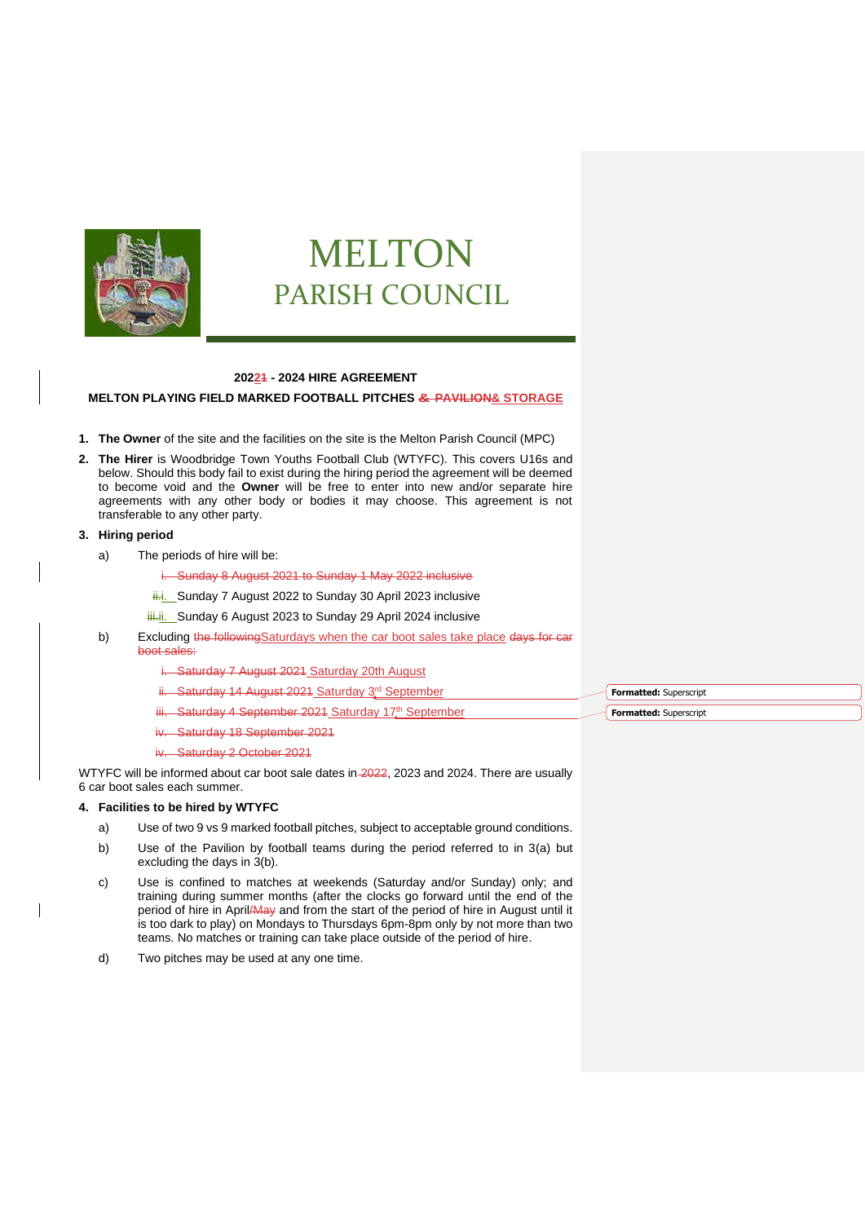

# MELTON PARISH COUNCIL

## **20221 - 2024 HIRE AGREEMENT**

## **MELTON PLAYING FIELD MARKED FOOTBALL PITCHES & PAVILION& STORAGE**

- **1. The Owner** of the site and the facilities on the site is the Melton Parish Council (MPC)
- **2. The Hirer** is Woodbridge Town Youths Football Club (WTYFC). This covers U16s and below. Should this body fail to exist during the hiring period the agreement will be deemed to become void and the **Owner** will be free to enter into new and/or separate hire agreements with any other body or bodies it may choose. This agreement is not transferable to any other party.

## **3. Hiring period**

- a) The periods of hire will be:
	- i. Sunday 8 August 2021 to Sunday 1 May 2022 inclusive
	- ii.i. Sunday 7 August 2022 to Sunday 30 April 2023 inclusive
	- iii. Sunday 6 August 2023 to Sunday 29 April 2024 inclusive
- b) Excluding the followingSaturdays when the car boot sales take place days for car boot sales:
	- i. Saturday 7 August 2021 Saturday 20th August
	- ii. Saturday 14 August 2021 Saturday 3rd September
	- Saturday 4 September 2021 Saturday 17th September
	- Saturday 18 September 2021
	- Saturday 2 October 2021

WTYFC will be informed about car boot sale dates in 2022, 2023 and 2024. There are usually 6 car boot sales each summer.

## **4. Facilities to be hired by WTYFC**

- a) Use of two 9 vs 9 marked football pitches, subject to acceptable ground conditions.
- b) Use of the Pavilion by football teams during the period referred to in 3(a) but excluding the days in 3(b).
- c) Use is confined to matches at weekends (Saturday and/or Sunday) only; and training during summer months (after the clocks go forward until the end of the period of hire in April/May and from the start of the period of hire in August until it is too dark to play) on Mondays to Thursdays 6pm-8pm only by not more than two teams. No matches or training can take place outside of the period of hire.
- d) Two pitches may be used at any one time.

**Formatted:** Superscript **Formatted:** Superscript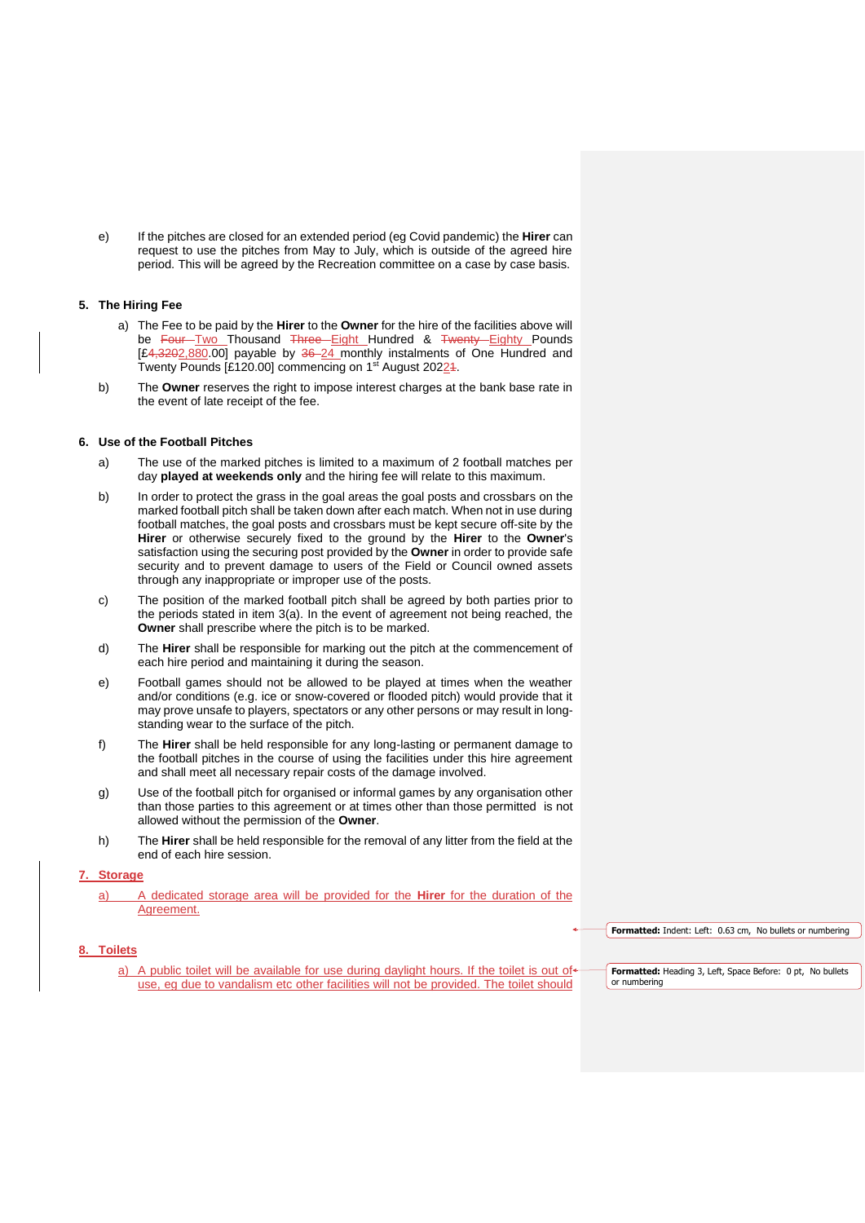e) If the pitches are closed for an extended period (eg Covid pandemic) the **Hirer** can request to use the pitches from May to July, which is outside of the agreed hire period. This will be agreed by the Recreation committee on a case by case basis.

## **5. The Hiring Fee**

- a) The Fee to be paid by the **Hirer** to the **Owner** for the hire of the facilities above will be Four Two Thousand Three Eight Hundred & Twenty Eighty Pounds [£4,3202,880.00] payable by 36-24 monthly instalments of One Hundred and Twenty Pounds [£120.00] commencing on 1<sup>st</sup> August 20224.
- b) The **Owner** reserves the right to impose interest charges at the bank base rate in the event of late receipt of the fee.

# **6. Use of the Football Pitches**

- a) The use of the marked pitches is limited to a maximum of 2 football matches per day **played at weekends only** and the hiring fee will relate to this maximum.
- b) In order to protect the grass in the goal areas the goal posts and crossbars on the marked football pitch shall be taken down after each match. When not in use during football matches, the goal posts and crossbars must be kept secure off-site by the **Hirer** or otherwise securely fixed to the ground by the **Hirer** to the **Owner**'s satisfaction using the securing post provided by the **Owner** in order to provide safe security and to prevent damage to users of the Field or Council owned assets through any inappropriate or improper use of the posts.
- c) The position of the marked football pitch shall be agreed by both parties prior to the periods stated in item 3(a). In the event of agreement not being reached, the **Owner** shall prescribe where the pitch is to be marked.
- d) The **Hirer** shall be responsible for marking out the pitch at the commencement of each hire period and maintaining it during the season.
- e) Football games should not be allowed to be played at times when the weather and/or conditions (e.g. ice or snow-covered or flooded pitch) would provide that it may prove unsafe to players, spectators or any other persons or may result in longstanding wear to the surface of the pitch.
- f) The **Hirer** shall be held responsible for any long-lasting or permanent damage to the football pitches in the course of using the facilities under this hire agreement and shall meet all necessary repair costs of the damage involved.
- g) Use of the football pitch for organised or informal games by any organisation other than those parties to this agreement or at times other than those permitted is not allowed without the permission of the **Owner**.
- h) The **Hirer** shall be held responsible for the removal of any litter from the field at the end of each hire session.

## **7. Storage**

a) A dedicated storage area will be provided for the **Hirer** for the duration of the Agreement.

**Formatted:** Indent: Left: 0.63 cm, No bullets or numbering

## **8. Toilets**

a) A public toilet will be available for use during daylight hours. If the toilet is out of use, eg due to vandalism etc other facilities will not be provided. The toilet should

**Formatted:** Heading 3, Left, Space Before: 0 pt, No bullets or numbering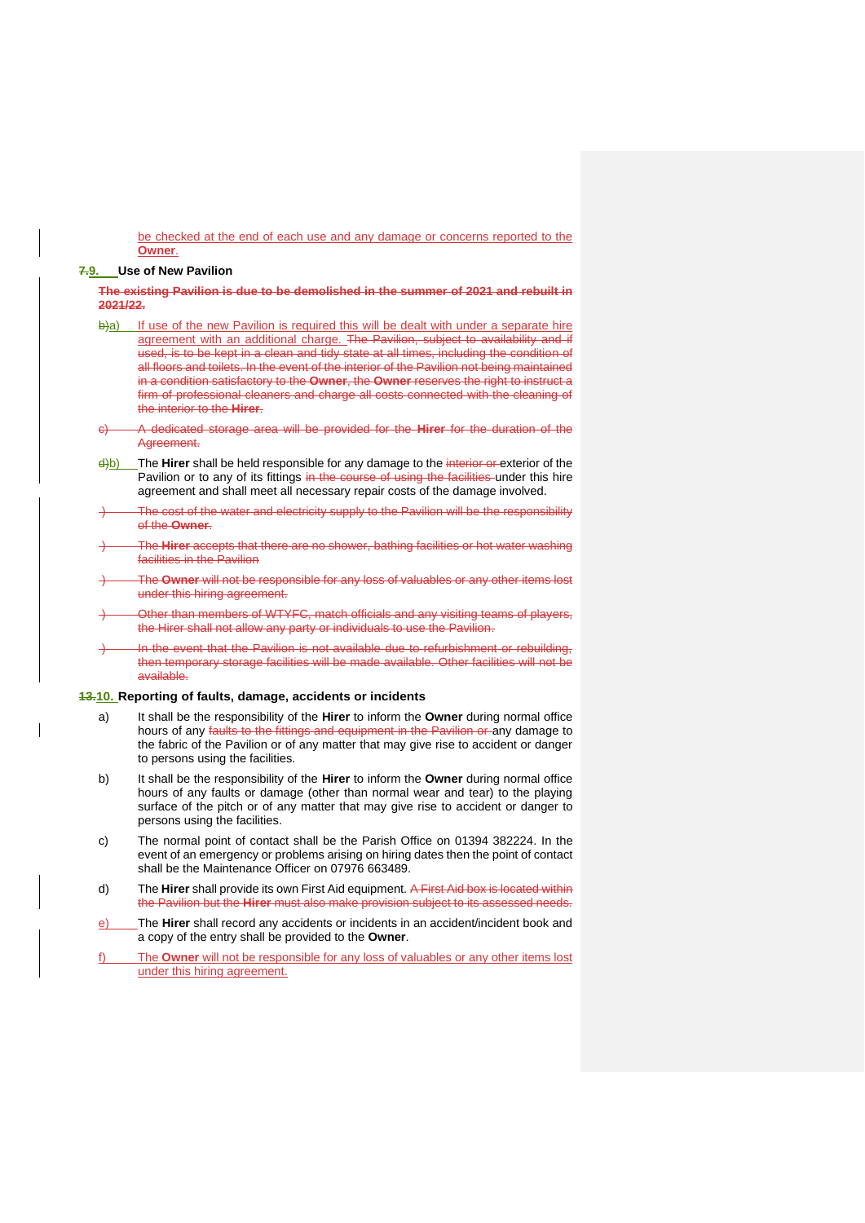be checked at the end of each use and any damage or concerns reported to the **Owner**.

#### **7.9. Use of New Pavilion**

**The existing Pavilion is due to be demolished in the summer of 2021 and rebuilt in 2021/22.**

- b)a) If use of the new Pavilion is required this will be dealt with under a separate hire agreement with an additional charge. The Pavilion, subject to availability and if used, is to be kept in a clean and tidy state at all times, including the condition of all floors and toilets. In the event of the interior of the Pavilion not being maintained in a condition satisfactory to the **Owner**, the **Owner** reserves the right to instruct a firm of professional cleaners and charge all costs connected with the cleaning of the interior to the **Hirer**.
- c) A dedicated storage area will be provided for the **Hirer** for the duration of the Agree
- d)b) The **Hirer** shall be held responsible for any damage to the interior or exterior of the Pavilion or to any of its fittings in the course of using the facilities under this hire agreement and shall meet all necessary repair costs of the damage involved.
- The cost of the water and electricity supply to the Pavilion will be the responsibility of the **Owner**.
- ) The **Hirer** accepts that there are no shower, bathing facilities or hot water washing facilities in the Pavilion
- ) The **Owner** will not be responsible for any loss of valuables or any other items lost under this hiring agreement.
- Other than members of WTYFC, match officials and any visiting teams of players, the Hirer shall not allow any party or individuals to use the Pavilion.
- In the event that the Pavilion is not available due to refurbishment or rebuilding, then temporary storage facilities will be made available. Other facilities will not be available.

## **13.10. Reporting of faults, damage, accidents or incidents**

- a) It shall be the responsibility of the **Hirer** to inform the **Owner** during normal office hours of any faults to the fittings and equipment in the Pavilion or any damage to the fabric of the Pavilion or of any matter that may give rise to accident or danger to persons using the facilities.
- b) It shall be the responsibility of the **Hirer** to inform the **Owner** during normal office hours of any faults or damage (other than normal wear and tear) to the playing surface of the pitch or of any matter that may give rise to accident or danger to persons using the facilities.
- c) The normal point of contact shall be the Parish Office on 01394 382224. In the event of an emergency or problems arising on hiring dates then the point of contact shall be the Maintenance Officer on 07976 663489.
- d) The **Hirer** shall provide its own First Aid equipment. A First Aid box is located within the Pavilion but the **Hirer** must also make provision subject to its assessed needs.
- e) The **Hirer** shall record any accidents or incidents in an accident/incident book and a copy of the entry shall be provided to the **Owner**.
- f) The **Owner** will not be responsible for any loss of valuables or any other items lost under this hiring agreement.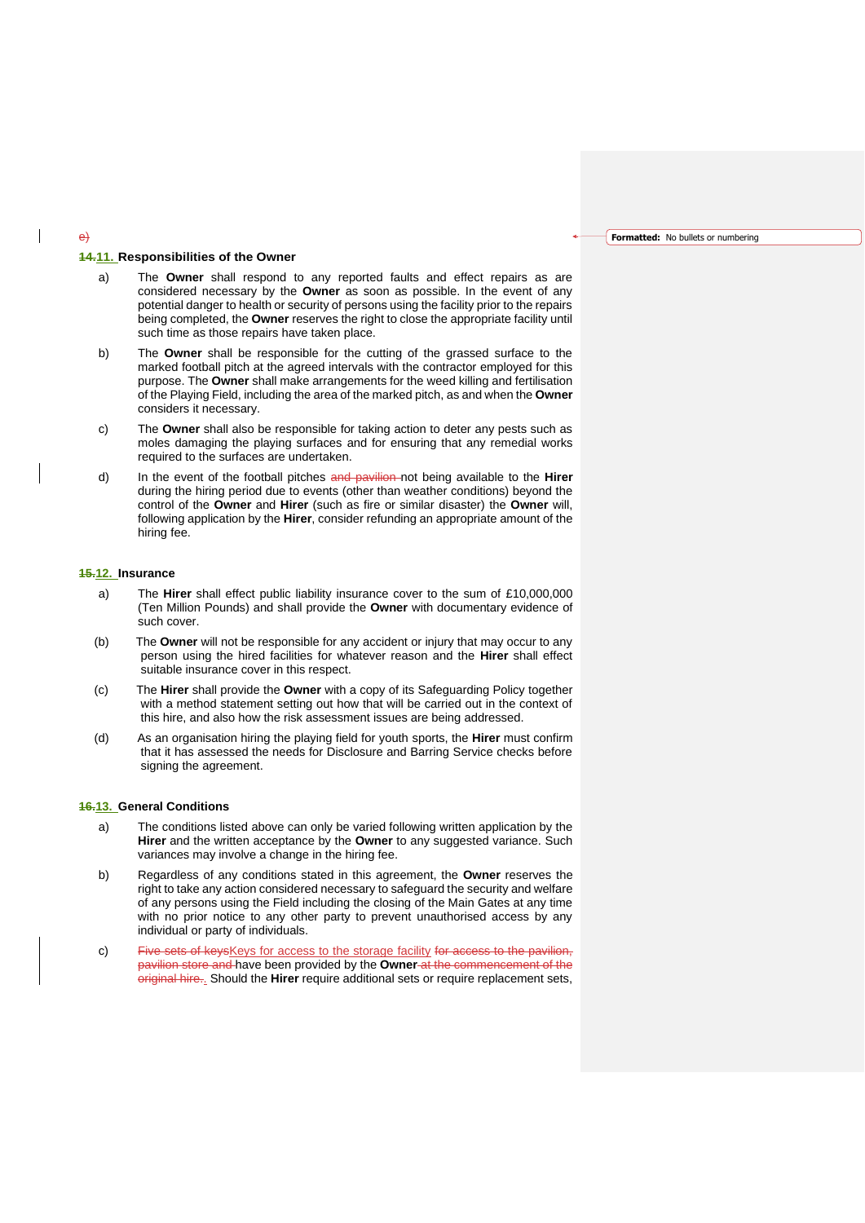**Formatted:** No bullets or numbering

## **14.11. Responsibilities of the Owner**

- a) The **Owner** shall respond to any reported faults and effect repairs as are considered necessary by the **Owner** as soon as possible. In the event of any potential danger to health or security of persons using the facility prior to the repairs being completed, the **Owner** reserves the right to close the appropriate facility until such time as those repairs have taken place.
- b) The **Owner** shall be responsible for the cutting of the grassed surface to the marked football pitch at the agreed intervals with the contractor employed for this purpose. The **Owner** shall make arrangements for the weed killing and fertilisation of the Playing Field, including the area of the marked pitch, as and when the **Owner** considers it necessary.
- c) The **Owner** shall also be responsible for taking action to deter any pests such as moles damaging the playing surfaces and for ensuring that any remedial works required to the surfaces are undertaken.
- d) In the event of the football pitches and pavilion not being available to the **Hirer** during the hiring period due to events (other than weather conditions) beyond the control of the **Owner** and **Hirer** (such as fire or similar disaster) the **Owner** will, following application by the **Hirer**, consider refunding an appropriate amount of the hiring fee.

## **15.12. Insurance**

- a) The **Hirer** shall effect public liability insurance cover to the sum of £10,000,000 (Ten Million Pounds) and shall provide the **Owner** with documentary evidence of such cover.
- (b) The **Owner** will not be responsible for any accident or injury that may occur to any person using the hired facilities for whatever reason and the **Hirer** shall effect suitable insurance cover in this respect.
- (c) The **Hirer** shall provide the **Owner** with a copy of its Safeguarding Policy together with a method statement setting out how that will be carried out in the context of this hire, and also how the risk assessment issues are being addressed.
- (d) As an organisation hiring the playing field for youth sports, the **Hirer** must confirm that it has assessed the needs for Disclosure and Barring Service checks before signing the agreement.

### **16.13. General Conditions**

- a) The conditions listed above can only be varied following written application by the **Hirer** and the written acceptance by the **Owner** to any suggested variance. Such variances may involve a change in the hiring fee.
- b) Regardless of any conditions stated in this agreement, the **Owner** reserves the right to take any action considered necessary to safeguard the security and welfare of any persons using the Field including the closing of the Main Gates at any time with no prior notice to any other party to prevent unauthorised access by any individual or party of individuals.
- c) Five sets of keys Keys for access to the storage facility for access to the pavilion, pavilion store and have been provided by the **Owner** at the commencement of the original hire.. Should the **Hirer** require additional sets or require replacement sets,

#### e)